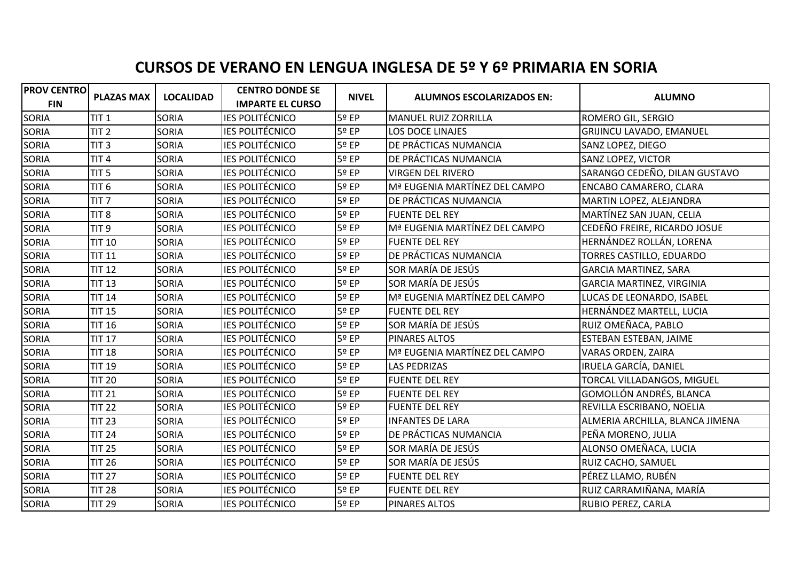## **CURSOS DE VERANO EN LENGUA INGLESA DE 5º Y 6º PRIMARIA EN SORIA**

| <b>PROV CENTRO</b> | <b>PLAZAS MAX</b> | <b>LOCALIDAD</b> | <b>CENTRO DONDE SE</b>  | <b>NIVEL</b> | <b>ALUMNOS ESCOLARIZADOS EN:</b> | <b>ALUMNO</b>                     |
|--------------------|-------------------|------------------|-------------------------|--------------|----------------------------------|-----------------------------------|
| <b>FIN</b>         |                   |                  | <b>IMPARTE EL CURSO</b> |              |                                  |                                   |
| <b>SORIA</b>       | TIT <sub>1</sub>  | <b>SORIA</b>     | <b>IES POLITÉCNICO</b>  | 5º EP        | <b>MANUEL RUIZ ZORRILLA</b>      | <b>ROMERO GIL, SERGIO</b>         |
| SORIA              | TIT <sub>2</sub>  | SORIA            | <b>IES POLITÉCNICO</b>  | 5º EP        | <b>LOS DOCE LINAJES</b>          | <b>GRIJINCU LAVADO, EMANUEL</b>   |
| <b>SORIA</b>       | TIT <sub>3</sub>  | SORIA            | <b>IES POLITÉCNICO</b>  | 5º EP        | DE PRÁCTICAS NUMANCIA            | SANZ LOPEZ, DIEGO                 |
| <b>SORIA</b>       | TIT <sub>4</sub>  | <b>SORIA</b>     | <b>IES POLITÉCNICO</b>  | 5º EP        | DE PRÁCTICAS NUMANCIA            | SANZ LOPEZ, VICTOR                |
| SORIA              | TIT <sub>5</sub>  | <b>SORIA</b>     | <b>IES POLITÉCNICO</b>  | 5º EP        | <b>VIRGEN DEL RIVERO</b>         | SARANGO CEDEÑO, DILAN GUSTAVO     |
| <b>SORIA</b>       | TIT <sub>6</sub>  | SORIA            | <b>IES POLITÉCNICO</b>  | 5º EP        | Mª EUGENIA MARTÍNEZ DEL CAMPO    | ENCABO CAMARERO, CLARA            |
| <b>SORIA</b>       | TIT <sub>7</sub>  | <b>SORIA</b>     | <b>IES POLITÉCNICO</b>  | 5º EP        | DE PRÁCTICAS NUMANCIA            | MARTIN LOPEZ, ALEJANDRA           |
| <b>SORIA</b>       | TIT <sub>8</sub>  | <b>SORIA</b>     | <b>IES POLITÉCNICO</b>  | 5º EP        | <b>FUENTE DEL REY</b>            | MARTÍNEZ SAN JUAN, CELIA          |
| SORIA              | TIT <sub>9</sub>  | SORIA            | <b>IES POLITÉCNICO</b>  | 5º EP        | Mª EUGENIA MARTÍNEZ DEL CAMPO    | CEDEÑO FREIRE, RICARDO JOSUE      |
| <b>SORIA</b>       | <b>TIT 10</b>     | SORIA            | <b>IES POLITÉCNICO</b>  | 5º EP        | <b>FUENTE DEL REY</b>            | HERNÁNDEZ ROLLÁN, LORENA          |
| <b>SORIA</b>       | <b>TIT 11</b>     | <b>SORIA</b>     | <b>IES POLITÉCNICO</b>  | 5º EP        | DE PRÁCTICAS NUMANCIA            | TORRES CASTILLO, EDUARDO          |
| SORIA              | <b>TIT 12</b>     | <b>SORIA</b>     | <b>IES POLITÉCNICO</b>  | 5º EP        | SOR MARÍA DE JESÚS               | <b>GARCIA MARTINEZ, SARA</b>      |
| <b>SORIA</b>       | <b>TIT 13</b>     | SORIA            | <b>IES POLITÉCNICO</b>  | 5º EP        | SOR MARÍA DE JESÚS               | GARCIA MARTINEZ, VIRGINIA         |
| SORIA              | <b>TIT 14</b>     | <b>SORIA</b>     | <b>IES POLITÉCNICO</b>  | 5º EP        | Mª EUGENIA MARTÍNEZ DEL CAMPO    | LUCAS DE LEONARDO, ISABEL         |
| <b>SORIA</b>       | <b>TIT 15</b>     | <b>SORIA</b>     | <b>IES POLITÉCNICO</b>  | 5º EP        | <b>FUENTE DEL REY</b>            | HERNÁNDEZ MARTELL, LUCIA          |
| <b>SORIA</b>       | <b>TIT 16</b>     | <b>SORIA</b>     | <b>IES POLITÉCNICO</b>  | 5º EP        | SOR MARÍA DE JESÚS               | RUIZ OMEÑACA, PABLO               |
| SORIA              | <b>TIT 17</b>     | SORIA            | <b>IES POLITÉCNICO</b>  | 5º EP        | <b>PINARES ALTOS</b>             | ESTEBAN ESTEBAN, JAIME            |
| <b>SORIA</b>       | <b>TIT 18</b>     | <b>SORIA</b>     | <b>IES POLITÉCNICO</b>  | 5º EP        | Mª EUGENIA MARTÍNEZ DEL CAMPO    | VARAS ORDEN, ZAIRA                |
| SORIA              | <b>TIT 19</b>     | <b>SORIA</b>     | <b>IES POLITÉCNICO</b>  | 5º EP        | <b>LAS PEDRIZAS</b>              | IRUELA GARCÍA, DANIEL             |
| <b>SORIA</b>       | <b>TIT 20</b>     | <b>SORIA</b>     | <b>IES POLITÉCNICO</b>  | 5º EP        | <b>FUENTE DEL REY</b>            | <b>TORCAL VILLADANGOS, MIGUEL</b> |
| <b>SORIA</b>       | <b>TIT 21</b>     | SORIA            | <b>IES POLITÉCNICO</b>  | 5º EP        | <b>FUENTE DEL REY</b>            | GOMOLLÓN ANDRÉS, BLANCA           |
| SORIA              | <b>TIT 22</b>     | <b>SORIA</b>     | <b>IES POLITÉCNICO</b>  | 5º EP        | <b>FUENTE DEL REY</b>            | REVILLA ESCRIBANO, NOELIA         |
| <b>SORIA</b>       | <b>TIT 23</b>     | <b>SORIA</b>     | <b>IES POLITÉCNICO</b>  | 5º EP        | <b>INFANTES DE LARA</b>          | ALMERIA ARCHILLA, BLANCA JIMENA   |
| SORIA              | <b>TIT 24</b>     | SORIA            | <b>IES POLITÉCNICO</b>  | 5º EP        | DE PRÁCTICAS NUMANCIA            | PEÑA MORENO, JULIA                |
| <b>SORIA</b>       | <b>TIT 25</b>     | SORIA            | <b>IES POLITÉCNICO</b>  | 5º EP        | SOR MARÍA DE JESÚS               | ALONSO OMEÑACA, LUCIA             |
| <b>SORIA</b>       | <b>TIT 26</b>     | <b>SORIA</b>     | <b>IES POLITÉCNICO</b>  | 5º EP        | SOR MARÍA DE JESÚS               | RUIZ CACHO, SAMUEL                |
| SORIA              | <b>TIT 27</b>     | SORIA            | <b>IES POLITÉCNICO</b>  | 5º EP        | <b>FUENTE DEL REY</b>            | PÉREZ LLAMO, RUBÉN                |
| <b>SORIA</b>       | <b>TIT 28</b>     | <b>SORIA</b>     | <b>IES POLITÉCNICO</b>  | 5º EP        | <b>FUENTE DEL REY</b>            | RUIZ CARRAMIÑANA, MARÍA           |
| <b>SORIA</b>       | <b>TIT 29</b>     | <b>SORIA</b>     | <b>IES POLITÉCNICO</b>  | 5º EP        | <b>PINARES ALTOS</b>             | <b>RUBIO PEREZ, CARLA</b>         |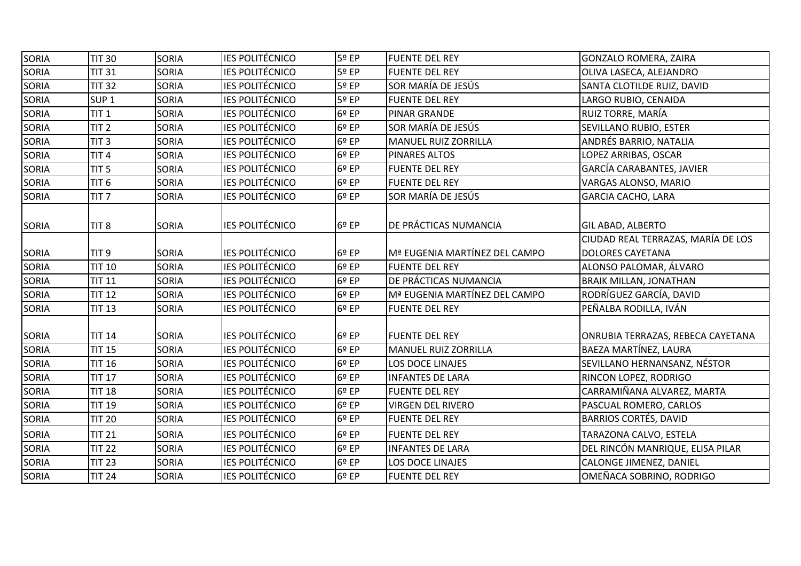| SORIA        | TIT <sub>30</sub> | <b>SORIA</b> | <b>IES POLITÉCNICO</b> | 5º EP | <b>FUENTE DEL REY</b>         | GONZALO ROMERA, ZAIRA              |
|--------------|-------------------|--------------|------------------------|-------|-------------------------------|------------------------------------|
| SORIA        | <b>TIT 31</b>     | <b>SORIA</b> | <b>IES POLITÉCNICO</b> | 5º EP | <b>FUENTE DEL REY</b>         | OLIVA LASECA, ALEJANDRO            |
| <b>SORIA</b> | <b>TIT 32</b>     | <b>SORIA</b> | <b>IES POLITÉCNICO</b> | 5º EP | SOR MARÍA DE JESÚS            | SANTA CLOTILDE RUIZ, DAVID         |
| SORIA        | SUP <sub>1</sub>  | SORIA        | <b>IES POLITÉCNICO</b> | 5º EP | <b>FUENTE DEL REY</b>         | LARGO RUBIO, CENAIDA               |
| <b>SORIA</b> | TIT <sub>1</sub>  | <b>SORIA</b> | <b>IES POLITÉCNICO</b> | 6º EP | <b>PINAR GRANDE</b>           | <b>RUIZ TORRE, MARÍA</b>           |
| <b>SORIA</b> | TIT <sub>2</sub>  | <b>SORIA</b> | <b>IES POLITÉCNICO</b> | 6º EP | SOR MARÍA DE JESÚS            | SEVILLANO RUBIO, ESTER             |
| SORIA        | TIT <sub>3</sub>  | <b>SORIA</b> | <b>IES POLITÉCNICO</b> | 6º EP | <b>MANUEL RUIZ ZORRILLA</b>   | ANDRÉS BARRIO, NATALIA             |
| SORIA        | TIT <sub>4</sub>  | <b>SORIA</b> | <b>IES POLITÉCNICO</b> | 6º EP | <b>PINARES ALTOS</b>          | LOPEZ ARRIBAS, OSCAR               |
| <b>SORIA</b> | TIT <sub>5</sub>  | <b>SORIA</b> | <b>IES POLITÉCNICO</b> | 6º EP | <b>FUENTE DEL REY</b>         | <b>GARCÍA CARABANTES, JAVIER</b>   |
| SORIA        | TIT <sub>6</sub>  | SORIA        | <b>IES POLITÉCNICO</b> | 6º EP | <b>FUENTE DEL REY</b>         | VARGAS ALONSO, MARIO               |
| <b>SORIA</b> | TIT <sub>7</sub>  | <b>SORIA</b> | <b>IES POLITÉCNICO</b> | 6º EP | SOR MARÍA DE JESÚS            | <b>GARCIA CACHO, LARA</b>          |
| <b>SORIA</b> | TIT <sub>8</sub>  | <b>SORIA</b> | <b>IES POLITÉCNICO</b> | 6º EP | DE PRÁCTICAS NUMANCIA         | <b>GIL ABAD, ALBERTO</b>           |
|              |                   |              |                        |       |                               | CIUDAD REAL TERRAZAS, MARÍA DE LOS |
| <b>SORIA</b> | TIT <sub>9</sub>  | <b>SORIA</b> | <b>IES POLITÉCNICO</b> | 6º EP | Mª EUGENIA MARTÍNEZ DEL CAMPO | <b>DOLORES CAYETANA</b>            |
| <b>SORIA</b> | <b>TIT 10</b>     | <b>SORIA</b> | <b>IES POLITÉCNICO</b> | 6º EP | <b>FUENTE DEL REY</b>         | ALONSO PALOMAR, ÁLVARO             |
| SORIA        | <b>TIT 11</b>     | <b>SORIA</b> | <b>IES POLITÉCNICO</b> | 6º EP | DE PRÁCTICAS NUMANCIA         | <b>BRAIK MILLAN, JONATHAN</b>      |
| <b>SORIA</b> | <b>TIT 12</b>     | SORIA        | <b>IES POLITÉCNICO</b> | 6º EP | Mª EUGENIA MARTÍNEZ DEL CAMPO | RODRÍGUEZ GARCÍA, DAVID            |
| <b>SORIA</b> | <b>TIT 13</b>     | <b>SORIA</b> | <b>IES POLITÉCNICO</b> | 6º EP | <b>FUENTE DEL REY</b>         | PEÑALBA RODILLA, IVÁN              |
| <b>SORIA</b> | <b>TIT 14</b>     | SORIA        | <b>IES POLITÉCNICO</b> | 6º EP | <b>FUENTE DEL REY</b>         | ONRUBIA TERRAZAS, REBECA CAYETANA  |
| <b>SORIA</b> | <b>TIT 15</b>     | SORIA        | <b>IES POLITÉCNICO</b> | 6º EP | <b>MANUEL RUIZ ZORRILLA</b>   | BAEZA MARTÍNEZ, LAURA              |
| <b>SORIA</b> | <b>TIT 16</b>     | SORIA        | <b>IES POLITÉCNICO</b> | 6º EP | LOS DOCE LINAJES              | SEVILLANO HERNANSANZ, NÉSTOR       |
| <b>SORIA</b> | <b>TIT 17</b>     | <b>SORIA</b> | <b>IES POLITÉCNICO</b> | 6º EP | <b>INFANTES DE LARA</b>       | <b>RINCON LOPEZ, RODRIGO</b>       |
| SORIA        | <b>TIT 18</b>     | SORIA        | <b>IES POLITÉCNICO</b> | 6º EP | <b>FUENTE DEL REY</b>         | CARRAMIÑANA ALVAREZ, MARTA         |
| SORIA        | <b>TIT 19</b>     | <b>SORIA</b> | <b>IES POLITÉCNICO</b> | 6º EP | <b>VIRGEN DEL RIVERO</b>      | <b>PASCUAL ROMERO, CARLOS</b>      |
| <b>SORIA</b> | <b>TIT 20</b>     | SORIA        | <b>IES POLITÉCNICO</b> | 6º EP | <b>FUENTE DEL REY</b>         | <b>BARRIOS CORTÉS, DAVID</b>       |
| <b>SORIA</b> | <b>TIT 21</b>     | SORIA        | <b>IES POLITÉCNICO</b> | 6º EP | <b>FUENTE DEL REY</b>         | TARAZONA CALVO, ESTELA             |
| <b>SORIA</b> | <b>TIT 22</b>     | SORIA        | <b>IES POLITÉCNICO</b> | 6º EP | <b>INFANTES DE LARA</b>       | DEL RINCÓN MANRIQUE, ELISA PILAR   |
| <b>SORIA</b> | <b>TIT 23</b>     | SORIA        | <b>IES POLITÉCNICO</b> | 6º EP | LOS DOCE LINAJES              | CALONGE JIMENEZ, DANIEL            |
| <b>SORIA</b> | <b>TIT 24</b>     | <b>SORIA</b> | <b>IES POLITÉCNICO</b> | 6º EP | <b>FUENTE DEL REY</b>         | OMEÑACA SOBRINO, RODRIGO           |
|              |                   |              |                        |       |                               |                                    |